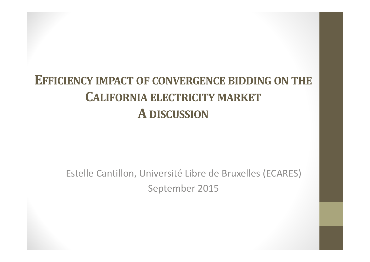### **EFFICIENCY IMPACT OF CONVERGENCE BIDDING ON THE CALIFORNIA ELECTRICITY MARKET A DISCUSSION**

Estelle Cantillon, Université Libre de Bruxelles (ECARES) September 2015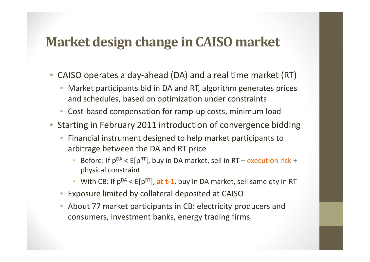#### **Market design change in CAISO market**

- •● CAISO operates a day-ahead (DA) and a real time market (RT)
	- $\bullet$  Market participants bid in DA and RT, algorithm generates prices and schedules, based on optimization under constraints
	- Cost-based compensation for ramp-up costs, minimum load
- • Starting in February 2011 introduction of convergence bidding
	- • Financial instrument designed to help market participants to arbitrage between the DA and RT price
		- •Before: If  $p^{DA} < E[p^{RT}]$ , buy in DA market, sell in RT – execution risk + physical constraint
		- •With CB: If  $p^{DA} < E[p^{RT}]$ , at t-1, buy in DA market, sell same qty in RT
	- $\bullet$ Exposure limited by collateral deposited at CAISO
	- $\bullet$  About 77 market participants in CB: electricity producers and consumers, investment banks, energy trading firms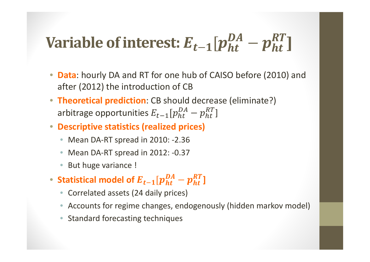# **Variable of interest:**  $E_{t-1}[p_{ht}^{DA} - p_{ht}^{RI}]$

- **Data**: hourly DA and RT for one hub of CAISO before (2010) and after (2012) the introduction of CB
- **Theoretical prediction**: CB should decrease (eliminate?) arbitrage opportunities  $E_{t-1}[p_{ht}^{DA} - p_{ht}^{RT}]$
- **Descriptive statistics (realized prices)**
	- Mean DA‐RT spread in 2010: ‐2.36
	- •■ Mean DA-RT spread in 2012: -0.37
	- •But huge variance !
- $\bullet$  Statistical model of  $E_{t-1}[p_{ht}^{DA}-p_{ht}^{RT}]$ 
	- Correlated assets (24 daily prices)
	- Accounts for regime changes, endogenously (hidden markov model)
	- $\bullet$ • Standard forecasting techniques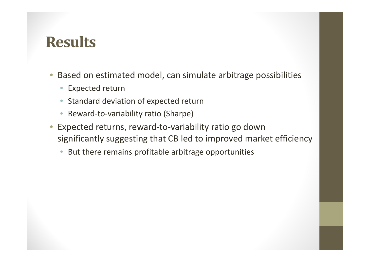### **Results**

- • Based on estimated model, can simulate arbitrage possibilities
	- $\bullet$ Expected return
	- $\bullet$ **• Standard deviation of expected return**
	- $\bullet$ Reward‐to‐variability ratio (Sharpe)
- $\bigcirc$  Expected returns, reward‐to‐variability ratio go down significantly suggesting that CB led to improved market efficiency
	- $\bullet$ But there remains profitable arbitrage opportunities